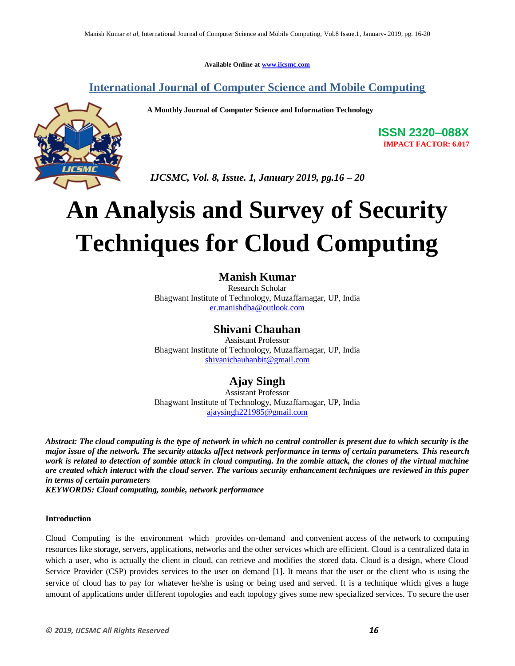**Available Online at www.ijcsmc.com**

# **International Journal of Computer Science and Mobile Computing**

 **A Monthly Journal of Computer Science and Information Technology**



**ISSN 2320–088X IMPACT FACTOR: 6.017**

 *IJCSMC, Vol. 8, Issue. 1, January 2019, pg.16 – 20*

# **An Analysis and Survey of Security Techniques for Cloud Computing**

#### **Manish Kumar**

Research Scholar Bhagwant Institute of Technology, Muzaffarnagar, UP, India er.manishdba@outlook.com

### **Shivani Chauhan**

Assistant Professor Bhagwant Institute of Technology, Muzaffarnagar, UP, India shivanichauhanbit@gmail.com

# **Ajay Singh**

Assistant Professor Bhagwant Institute of Technology, Muzaffarnagar, UP, India ajaysingh221985@gmail.com

*Abstract: The cloud computing is the type of network in which no central controller is present due to which security is the major issue of the network. The security attacks affect network performance in terms of certain parameters. This research work is related to detection of zombie attack in cloud computing. In the zombie attack, the clones of the virtual machine are created which interact with the cloud server. The various security enhancement techniques are reviewed in this paper in terms of certain parameters KEYWORDS: Cloud computing, zombie, network performance* 

#### **Introduction**

Cloud Computing is the environment which provides on-demand and convenient access of the network to computing resources like storage, servers, applications, networks and the other services which are efficient. Cloud is a centralized data in which a user, who is actually the client in cloud, can retrieve and modifies the stored data. Cloud is a design, where Cloud Service Provider (CSP) provides services to the user on demand [1]. It means that the user or the client who is using the service of cloud has to pay for whatever he/she is using or being used and served. It is a technique which gives a huge amount of applications under different topologies and each topology gives some new specialized services. To secure the user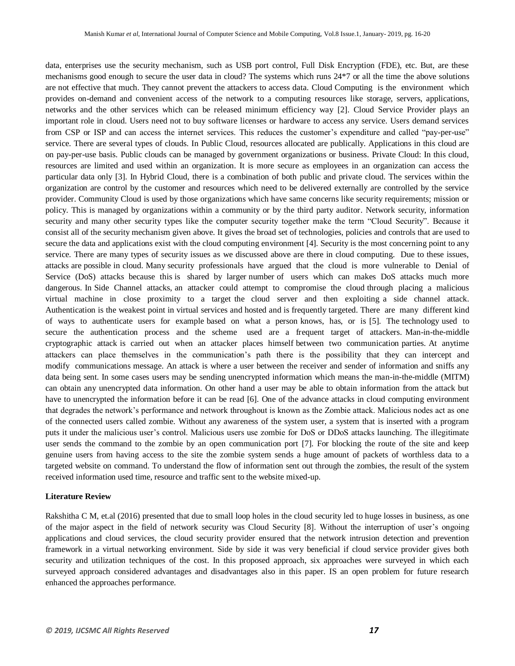data, enterprises use the security mechanism, such as USB port control, Full Disk Encryption (FDE), etc. But, are these mechanisms good enough to secure the user data in cloud? The systems which runs 24\*7 or all the time the above solutions are not effective that much. They cannot prevent the attackers to access data. Cloud Computing is the environment which provides on-demand and convenient access of the network to a computing resources like storage, servers, applications, networks and the other services which can be released minimum efficiency way [2]. Cloud Service Provider plays an important role in cloud. Users need not to buy software licenses or hardware to access any service. Users demand services from CSP or ISP and can access the internet services. This reduces the customer's expenditure and called "pay-per-use" service. There are several types of clouds. In Public Cloud, resources allocated are publically. Applications in this cloud are on pay-per-use basis. Public clouds can be managed by government organizations or business. Private Cloud: In this cloud, resources are limited and used within an organization. It is more secure as employees in an organization can access the particular data only [3]. In Hybrid Cloud, there is a combination of both public and private cloud. The services within the organization are control by the customer and resources which need to be delivered externally are controlled by the service provider. Community Cloud is used by those organizations which have same concerns like security requirements; mission or policy. This is managed by organizations within a community or by the third party auditor. Network security, information security and many other security types like the computer security together make the term "Cloud Security". Because it consist all of the security mechanism given above. It gives the broad set of technologies, policies and controls that are used to secure the data and applications exist with the cloud computing environment [4]. Security is the most concerning point to any service. There are many types of security issues as we discussed above are there in cloud computing. Due to these issues, attacks are possible in cloud. Many security professionals have argued that the cloud is more vulnerable to Denial of Service (DoS) attacks because this is shared by larger number of users which can makes DoS attacks much more dangerous. In Side Channel attacks, an attacker could attempt to compromise the cloud through placing a malicious virtual machine in close proximity to a target the cloud server and then exploiting a side channel attack. Authentication is the weakest point in virtual services and hosted and is frequently targeted. There are many different kind of ways to authenticate users for example based on what a person knows, has, or is [5]. The technology used to secure the authentication process and the scheme used are a frequent target of attackers. Man-in-the-middle cryptographic attack is carried out when an attacker places himself between two communication parties. At anytime attackers can place themselves in the communication's path there is the possibility that they can intercept and modify communications message. An attack is where a user between the receiver and sender of information and sniffs any data being sent. In some cases users may be sending unencrypted information which means the man-in-the-middle (MITM) can obtain any unencrypted data information. On other hand a user may be able to obtain information from the attack but have to unencrypted the information before it can be read [6]. One of the advance attacks in cloud computing environment that degrades the network's performance and network throughout is known as the Zombie attack. Malicious nodes act as one of the connected users called zombie. Without any awareness of the system user, a system that is inserted with a program puts it under the malicious user's control. Malicious users use zombie for DoS or DDoS attacks launching. The illegitimate user sends the command to the zombie by an open communication port [7]. For blocking the route of the site and keep genuine users from having access to the site the zombie system sends a huge amount of packets of worthless data to a targeted website on command. To understand the flow of information sent out through the zombies, the result of the system received information used time, resource and traffic sent to the website mixed-up.

#### **Literature Review**

Rakshitha C M, et.al (2016) presented that due to small loop holes in the cloud security led to huge losses in business, as one of the major aspect in the field of network security was Cloud Security [8]. Without the interruption of user's ongoing applications and cloud services, the cloud security provider ensured that the network intrusion detection and prevention framework in a virtual networking environment. Side by side it was very beneficial if cloud service provider gives both security and utilization techniques of the cost. In this proposed approach, six approaches were surveyed in which each surveyed approach considered advantages and disadvantages also in this paper. IS an open problem for future research enhanced the approaches performance.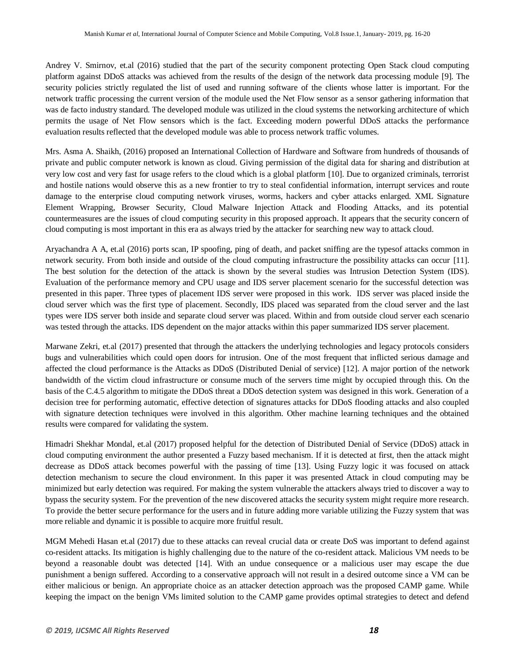Andrey V. Smirnov, et.al (2016) studied that the part of the security component protecting Open Stack cloud computing platform against DDoS attacks was achieved from the results of the design of the network data processing module [9]. The security policies strictly regulated the list of used and running software of the clients whose latter is important. For the network traffic processing the current version of the module used the Net Flow sensor as a sensor gathering information that was de facto industry standard. The developed module was utilized in the cloud systems the networking architecture of which permits the usage of Net Flow sensors which is the fact. Exceeding modern powerful DDoS attacks the performance evaluation results reflected that the developed module was able to process network traffic volumes.

Mrs. Asma A. Shaikh, (2016) proposed an International Collection of Hardware and Software from hundreds of thousands of private and public computer network is known as cloud. Giving permission of the digital data for sharing and distribution at very low cost and very fast for usage refers to the cloud which is a global platform [10]. Due to organized criminals, terrorist and hostile nations would observe this as a new frontier to try to steal confidential information, interrupt services and route damage to the enterprise cloud computing network viruses, worms, hackers and cyber attacks enlarged. XML Signature Element Wrapping, Browser Security, Cloud Malware Injection Attack and Flooding Attacks, and its potential countermeasures are the issues of cloud computing security in this proposed approach. It appears that the security concern of cloud computing is most important in this era as always tried by the attacker for searching new way to attack cloud.

Aryachandra A A, et.al (2016) ports scan, IP spoofing, ping of death, and packet sniffing are the typesof attacks common in network security. From both inside and outside of the cloud computing infrastructure the possibility attacks can occur [11]. The best solution for the detection of the attack is shown by the several studies was Intrusion Detection System (IDS). Evaluation of the performance memory and CPU usage and IDS server placement scenario for the successful detection was presented in this paper. Three types of placement IDS server were proposed in this work. IDS server was placed inside the cloud server which was the first type of placement. Secondly, IDS placed was separated from the cloud server and the last types were IDS server both inside and separate cloud server was placed. Within and from outside cloud server each scenario was tested through the attacks. IDS dependent on the major attacks within this paper summarized IDS server placement.

Marwane Zekri, et.al (2017) presented that through the attackers the underlying technologies and legacy protocols considers bugs and vulnerabilities which could open doors for intrusion. One of the most frequent that inflicted serious damage and affected the cloud performance is the Attacks as DDoS (Distributed Denial of service) [12]. A major portion of the network bandwidth of the victim cloud infrastructure or consume much of the servers time might by occupied through this. On the basis of the C.4.5 algorithm to mitigate the DDoS threat a DDoS detection system was designed in this work. Generation of a decision tree for performing automatic, effective detection of signatures attacks for DDoS flooding attacks and also coupled with signature detection techniques were involved in this algorithm. Other machine learning techniques and the obtained results were compared for validating the system.

Himadri Shekhar Mondal, et.al (2017) proposed helpful for the detection of Distributed Denial of Service (DDoS) attack in cloud computing environment the author presented a Fuzzy based mechanism. If it is detected at first, then the attack might decrease as DDoS attack becomes powerful with the passing of time [13]. Using Fuzzy logic it was focused on attack detection mechanism to secure the cloud environment. In this paper it was presented Attack in cloud computing may be minimized but early detection was required. For making the system vulnerable the attackers always tried to discover a way to bypass the security system. For the prevention of the new discovered attacks the security system might require more research. To provide the better secure performance for the users and in future adding more variable utilizing the Fuzzy system that was more reliable and dynamic it is possible to acquire more fruitful result.

MGM Mehedi Hasan et.al (2017) due to these attacks can reveal crucial data or create DoS was important to defend against co-resident attacks. Its mitigation is highly challenging due to the nature of the co-resident attack. Malicious VM needs to be beyond a reasonable doubt was detected [14]. With an undue consequence or a malicious user may escape the due punishment a benign suffered. According to a conservative approach will not result in a desired outcome since a VM can be either malicious or benign. An appropriate choice as an attacker detection approach was the proposed CAMP game. While keeping the impact on the benign VMs limited solution to the CAMP game provides optimal strategies to detect and defend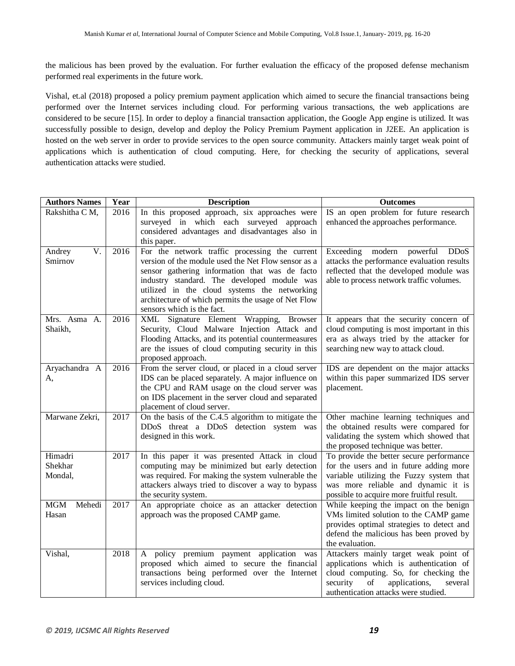the malicious has been proved by the evaluation. For further evaluation the efficacy of the proposed defense mechanism performed real experiments in the future work.

Vishal, et.al (2018) proposed a policy premium payment application which aimed to secure the financial transactions being performed over the Internet services including cloud. For performing various transactions, the web applications are considered to be secure [15]. In order to deploy a financial transaction application, the Google App engine is utilized. It was successfully possible to design, develop and deploy the Policy Premium Payment application in J2EE. An application is hosted on the web server in order to provide services to the open source community. Attackers mainly target weak point of applications which is authentication of cloud computing. Here, for checking the security of applications, several authentication attacks were studied.

| <b>Authors Names</b>                  | Year | <b>Description</b>                                                                                                                                                                                                                                                                                                                          | <b>Outcomes</b>                                                                                                                                                                                                     |
|---------------------------------------|------|---------------------------------------------------------------------------------------------------------------------------------------------------------------------------------------------------------------------------------------------------------------------------------------------------------------------------------------------|---------------------------------------------------------------------------------------------------------------------------------------------------------------------------------------------------------------------|
| Rakshitha C M,                        | 2016 | In this proposed approach, six approaches were<br>surveyed in which each surveyed approach<br>considered advantages and disadvantages also in<br>this paper.                                                                                                                                                                                | IS an open problem for future research<br>enhanced the approaches performance.                                                                                                                                      |
| $\overline{V}$ .<br>Andrey<br>Smirnov | 2016 | For the network traffic processing the current<br>version of the module used the Net Flow sensor as a<br>sensor gathering information that was de facto<br>industry standard. The developed module was<br>utilized in the cloud systems the networking<br>architecture of which permits the usage of Net Flow<br>sensors which is the fact. | Exceeding<br>modern<br>powerful<br><b>DDoS</b><br>attacks the performance evaluation results<br>reflected that the developed module was<br>able to process network traffic volumes.                                 |
| Mrs. Asma A.<br>Shaikh,               | 2016 | XML Signature Element Wrapping, Browser<br>Security, Cloud Malware Injection Attack and<br>Flooding Attacks, and its potential countermeasures<br>are the issues of cloud computing security in this<br>proposed approach.                                                                                                                  | It appears that the security concern of<br>cloud computing is most important in this<br>era as always tried by the attacker for<br>searching new way to attack cloud.                                               |
| Aryachandra A<br>A,                   | 2016 | From the server cloud, or placed in a cloud server<br>IDS can be placed separately. A major influence on<br>the CPU and RAM usage on the cloud server was<br>on IDS placement in the server cloud and separated<br>placement of cloud server.                                                                                               | IDS are dependent on the major attacks<br>within this paper summarized IDS server<br>placement.                                                                                                                     |
| Marwane Zekri,                        | 2017 | On the basis of the C.4.5 algorithm to mitigate the<br>DDoS threat a DDoS detection system was<br>designed in this work.                                                                                                                                                                                                                    | Other machine learning techniques and<br>the obtained results were compared for<br>validating the system which showed that<br>the proposed technique was better.                                                    |
| Himadri<br>Shekhar<br>Mondal,         | 2017 | In this paper it was presented Attack in cloud<br>computing may be minimized but early detection<br>was required. For making the system vulnerable the<br>attackers always tried to discover a way to bypass<br>the security system.                                                                                                        | To provide the better secure performance<br>for the users and in future adding more<br>variable utilizing the Fuzzy system that<br>was more reliable and dynamic it is<br>possible to acquire more fruitful result. |
| <b>MGM</b><br>Mehedi<br>Hasan         | 2017 | An appropriate choice as an attacker detection<br>approach was the proposed CAMP game.                                                                                                                                                                                                                                                      | While keeping the impact on the benign<br>VMs limited solution to the CAMP game<br>provides optimal strategies to detect and<br>defend the malicious has been proved by<br>the evaluation.                          |
| Vishal,                               | 2018 | A policy premium payment application was<br>proposed which aimed to secure the financial<br>transactions being performed over the Internet<br>services including cloud.                                                                                                                                                                     | Attackers mainly target weak point of<br>applications which is authentication of<br>cloud computing. So, for checking the<br>security<br>of<br>applications,<br>several<br>authentication attacks were studied.     |